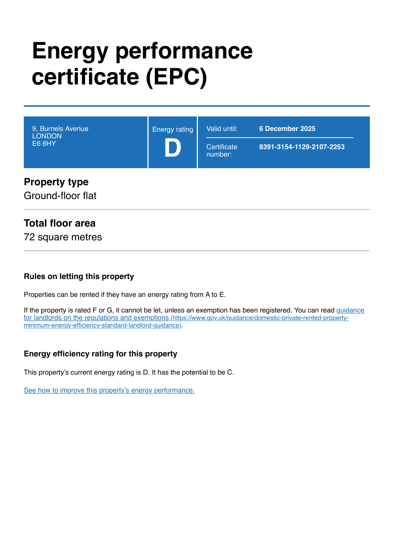# **Energy performance certificate (EPC)**

9, Burnels Avenue **LONDON** E6 6HY Energy rating **D** Valid until: **6 December 2025 Certificate** number: **8391-3154-1129-2107-2253 Property type**

Ground-floor flat

### **Total floor area**

72 square metres

#### **Rules on letting this property**

Properties can be rented if they have an energy rating from A to E.

If the property is rated F or G, it cannot be let, unless an exemption has been registered. You can read guidance for landlords on the regulations and exemptions (https://www.gov.uk/guidance/domestic-private-rented-propertyminimum-energy-efficiency-standard-landlord-guidance).

#### **Energy efficiency rating for this property**

This property's current energy rating is D. It has the potential to be C.

See how to improve this property's energy performance.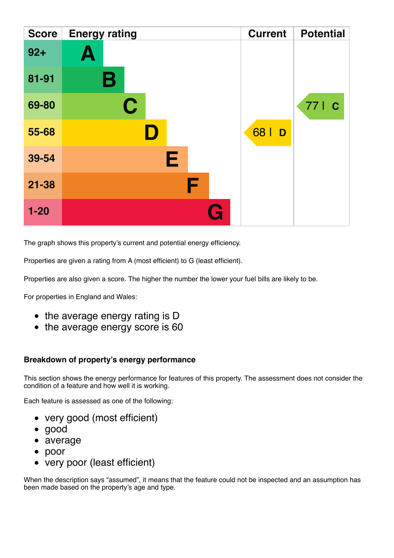| <b>Score</b> | <b>Energy rating</b> | <b>Current</b> | <b>Potential</b> |
|--------------|----------------------|----------------|------------------|
| $92 +$       | A                    |                |                  |
| 81-91        | В                    |                |                  |
| 69-80        | C                    |                | 77   C           |
| 55-68        |                      | 681<br>D       |                  |
| 39-54        | Е                    |                |                  |
| $21 - 38$    | F                    |                |                  |
| $1-20$       | G                    |                |                  |

The graph shows this property's current and potential energy efficiency.

Properties are given a rating from A (most efficient) to G (least efficient).

Properties are also given a score. The higher the number the lower your fuel bills are likely to be.

For properties in England and Wales:

- the average energy rating is D
- the average energy score is 60

#### **Breakdown of property's energy performance**

This section shows the energy performance for features of this property. The assessment does not consider the condition of a feature and how well it is working.

Each feature is assessed as one of the following:

- very good (most efficient)
- good
- average
- poor  $\bullet$
- very poor (least efficient)

When the description says "assumed", it means that the feature could not be inspected and an assumption has been made based on the property's age and type.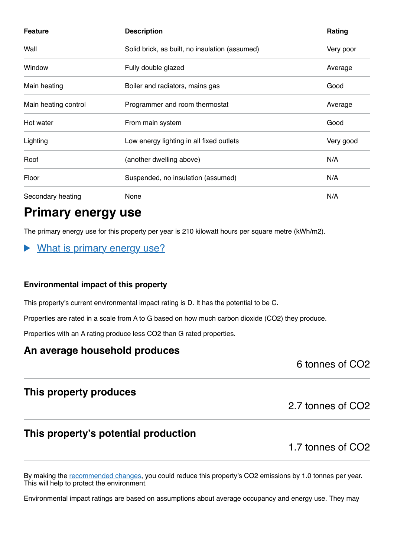| <b>Feature</b>       | <b>Description</b>                             | Rating    |
|----------------------|------------------------------------------------|-----------|
| Wall                 | Solid brick, as built, no insulation (assumed) | Very poor |
| Window               | Fully double glazed                            | Average   |
| Main heating         | Boiler and radiators, mains gas                | Good      |
| Main heating control | Programmer and room thermostat                 | Average   |
| Hot water            | From main system                               | Good      |
| Lighting             | Low energy lighting in all fixed outlets       | Very good |
| Roof                 | (another dwelling above)                       | N/A       |
| Floor                | Suspended, no insulation (assumed)             | N/A       |
| Secondary heating    | None                                           | N/A       |

### **Primary energy use**

The primary energy use for this property per year is 210 kilowatt hours per square metre (kWh/m2).

#### What is primary energy use?  $\blacktriangleright$

#### **Environmental impact of this property**

This property's current environmental impact rating is D. It has the potential to be C.

Properties are rated in a scale from A to G based on how much carbon dioxide (CO2) they produce.

Properties with an A rating produce less CO2 than G rated properties.

#### **An average household produces**

6 tonnes of CO2

### **This property produces**

#### 2.7 tonnes of CO2

### **This property's potential production**

1.7 tonnes of CO2

By making the recommended changes, you could reduce this property's CO2 emissions by 1.0 tonnes per year. This will help to protect the environment.

Environmental impact ratings are based on assumptions about average occupancy and energy use. They may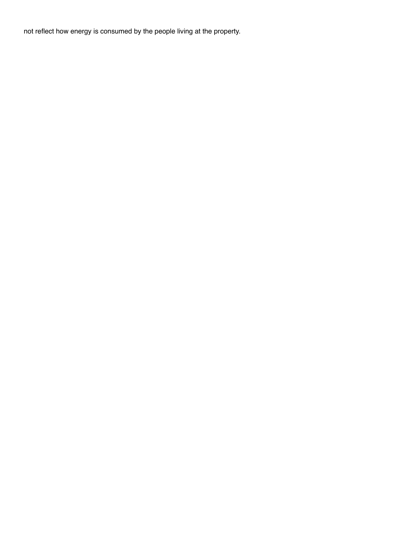not reflect how energy is consumed by the people living at the property.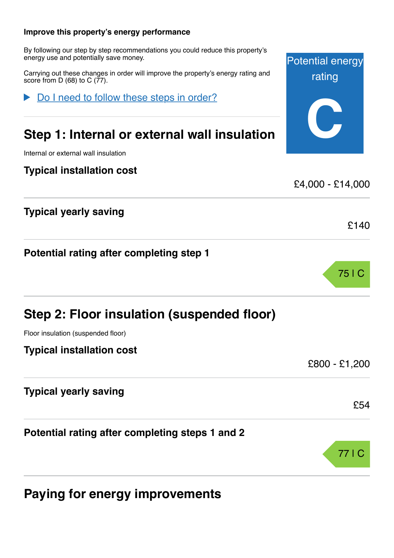#### **Improve this property's energy performance**

By following our step by step recommendations you could reduce this property's energy use and potentially save money.

Carrying out these changes in order will improve the property's energy rating and score from  $D(68)$  to  $C(77)$ .

Do I need to follow these steps in order?

### **Step 1: Internal or external wall insulation**

Internal or external wall insulation

**Typical installation cost**

|                                          | £4,000 - £14,000 |
|------------------------------------------|------------------|
| <b>Typical yearly saving</b>             | £140             |
| Potential rating after completing step 1 | 75   C           |

|  |  |  | Step 2: Floor insulation (suspended floor) |
|--|--|--|--------------------------------------------|
|--|--|--|--------------------------------------------|

Floor insulation (suspended floor)

**Typical installation cost**

£800 - £1,200

77 | C

Potential energy

rating

**C**

| <b>Typical yearly saving</b>                    |     |  |
|-------------------------------------------------|-----|--|
|                                                 | £54 |  |
| Potential rating after completing steps 1 and 2 |     |  |
|                                                 |     |  |

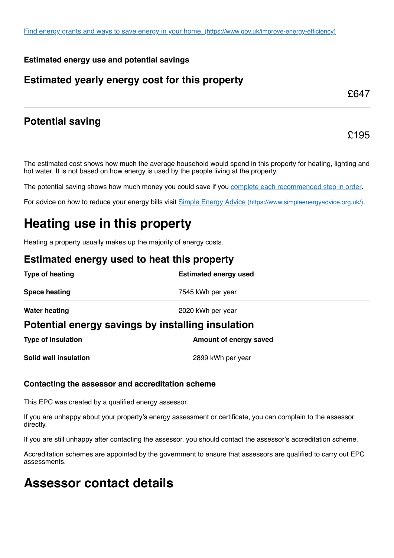#### **Estimated energy use and potential savings**

#### **Estimated yearly energy cost for this property**

£647

£195

#### **Potential saving**

The estimated cost shows how much the average household would spend in this property for heating, lighting and hot water. It is not based on how energy is used by the people living at the property.

The potential saving shows how much money you could save if you complete each recommended step in order.

For advice on how to reduce your energy bills visit Simple Energy Advice (https://www.simpleenergyadvice.org.uk/).

### **Heating use in this property**

Heating a property usually makes up the majority of energy costs.

#### **Estimated energy used to heat this property**

| Type of heating                                   | <b>Estimated energy used</b> |  |
|---------------------------------------------------|------------------------------|--|
| <b>Space heating</b>                              | 7545 kWh per year            |  |
| <b>Water heating</b>                              | 2020 kWh per year            |  |
| Potential energy savings by installing insulation |                              |  |
| <b>Type of insulation</b>                         | Amount of energy saved       |  |
| <b>Solid wall insulation</b>                      | 2899 kWh per year            |  |

#### **Contacting the assessor and accreditation scheme**

This EPC was created by a qualified energy assessor.

If you are unhappy about your property's energy assessment or certificate, you can complain to the assessor directly.

If you are still unhappy after contacting the assessor, you should contact the assessor's accreditation scheme.

Accreditation schemes are appointed by the government to ensure that assessors are qualified to carry out EPC assessments.

### **Assessor contact details**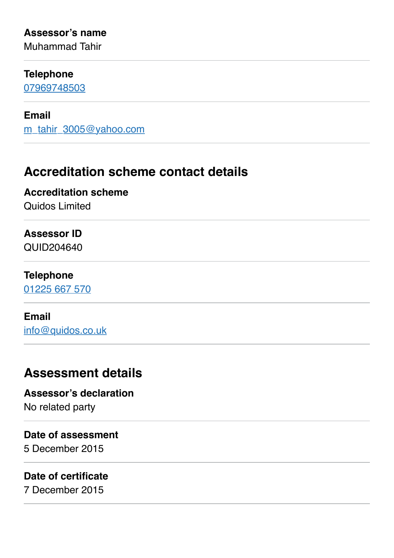### **Assessor's name**

Muhammad Tahir

### **Telephone**

07969748503

### **Email**

m\_tahir\_3005@yahoo.com

## **Accreditation scheme contact details**

**Accreditation scheme** Quidos Limited

### **Assessor ID**

QUID204640

### **Telephone**

01225 667 570

### **Email**

info@quidos.co.uk

### **Assessment details**

**Assessor's declaration** No related party

**Date of assessment** 5 December 2015

### **Date of certificate**

7 December 2015